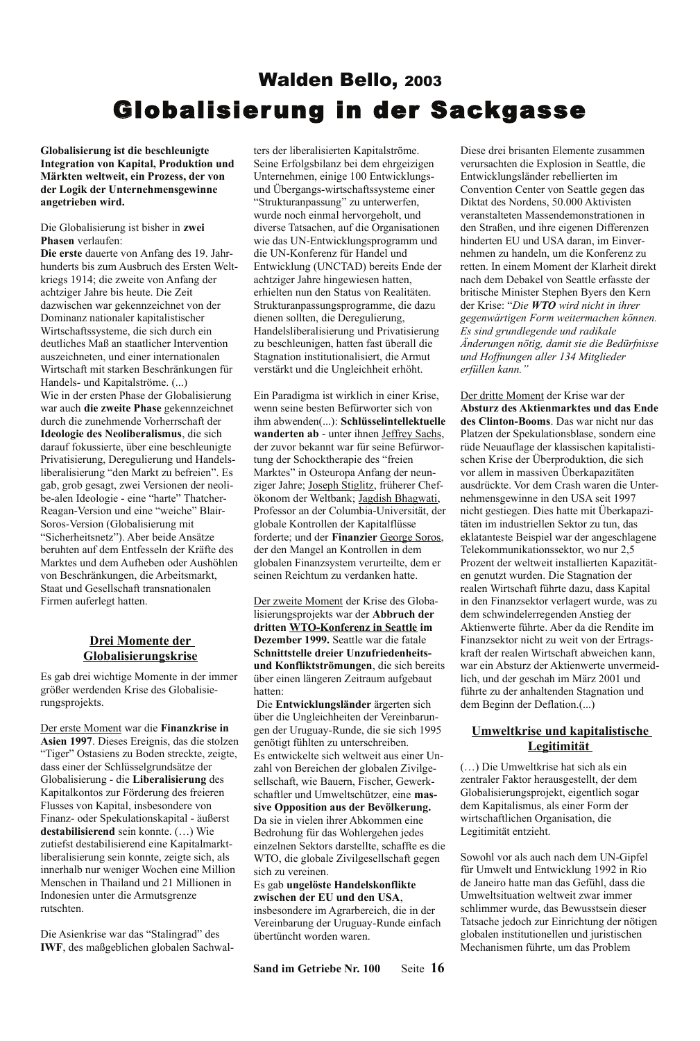# **Walden Bello, 2003 Globalisierung in der Sackgasse**

Globalisierung ist die beschleunigte **Integration von Kapital, Produktion und** Märkten weltweit, ein Prozess, der von der Logik der Unternehmensgewinne angetrieben wird.

Die Globalisierung ist bisher in zwei Phasen verlaufen:

Die erste dauerte von Anfang des 19. Jahrhunderts bis zum Ausbruch des Ersten Weltkriegs 1914; die zweite von Anfang der achtziger Jahre bis heute. Die Zeit dazwischen war gekennzeichnet von der Dominanz nationaler kapitalistischer Wirtschaftssysteme, die sich durch ein deutliches Maß an staatlicher Intervention auszeichneten, und einer internationalen Wirtschaft mit starken Beschränkungen für Handels- und Kapitalströme. (...) Wie in der ersten Phase der Globalisierung war auch die zweite Phase gekennzeichnet durch die zunehmende Vorherrschaft der Ideologie des Neoliberalismus, die sich darauf fokussierte, über eine beschleunigte Privatisierung, Deregulierung und Handelsliberalisierung "den Markt zu befreien". Es gab, grob gesagt, zwei Versionen der neolibe-alen Ideologie - eine "harte" Thatcher-Reagan-Version und eine "weiche" Blair-Soros-Version (Globalisierung mit "Sicherheitsnetz"). Aber beide Ansätze beruhten auf dem Entfesseln der Kräfte des Marktes und dem Aufheben oder Aushöhlen von Beschränkungen, die Arbeitsmarkt, Staat und Gesellschaft transnationalen Firmen auferlegt hatten.

## Drei Momente der Globalisierungskrise

Es gab drei wichtige Momente in der immer größer werdenden Krise des Globalisierungsprojekts.

Der erste Moment war die Finanzkrise in Asien 1997. Dieses Ereignis, das die stolzen "Tiger" Ostasiens zu Boden streckte, zeigte, dass einer der Schlüsselgrundsätze der Globalisierung - die Liberalisierung des Kapitalkontos zur Förderung des freieren Flusses von Kapital, insbesondere von Finanz- oder Spekulationskapital - äußerst destabilisierend sein konnte. (...) Wie zutiefst destabilisierend eine Kapitalmarktliberalisierung sein konnte, zeigte sich, als innerhalb nur weniger Wochen eine Million Menschen in Thailand und 21 Millionen in Indonesien unter die Armutsgrenze rutschten.

Die Asienkrise war das "Stalingrad" des **IWF**, des maßgeblichen globalen Sachwalters der liberalisierten Kapitalströme. Seine Erfolgsbilanz bei dem ehrgeizigen Unternehmen, einige 100 Entwicklungsund Übergangs-wirtschaftssysteme einer "Strukturanpassung" zu unterwerfen, wurde noch einmal hervorgeholt, und diverse Tatsachen, auf die Organisationen wie das UN-Entwicklungsprogramm und die UN-Konferenz für Handel und Entwicklung (UNCTAD) bereits Ende der achtziger Jahre hingewiesen hatten, erhielten nun den Status von Realitäten. Strukturanpassungsprogramme, die dazu dienen sollten, die Deregulierung, Handelsliberalisierung und Privatisierung zu beschleunigen, hatten fast überall die Stagnation institutionalisiert, die Armut verstärkt und die Ungleichheit erhöht.

Ein Paradigma ist wirklich in einer Krise, wenn seine besten Befürworter sich von ihm abwenden(...): Schlüsselintellektuelle wanderten ab - unter ihnen Jeffrey Sachs, der zuvor bekannt war für seine Befürwortung der Schocktherapie des "freien Marktes" in Osteuropa Anfang der neunziger Jahre; Joseph Stiglitz, früherer Chefökonom der Weltbank; Jagdish Bhagwati, Professor an der Columbia-Universität, der globale Kontrollen der Kapitalflüsse forderte; und der Finanzier George Soros, der den Mangel an Kontrollen in dem globalen Finanzsystem verurteilte, dem er seinen Reichtum zu verdanken hatte.

Der zweite Moment der Krise des Globalisierungsprojekts war der Abbruch der dritten WTO-Konferenz in Seattle im Dezember 1999. Seattle war die fatale Schnittstelle dreier Unzufriedenheitsund Konfliktströmungen, die sich bereits über einen längeren Zeitraum aufgebaut hatten<sup>.</sup>

Die Entwicklungsländer ärgerten sich über die Ungleichheiten der Vereinbarungen der Uruguay-Runde, die sie sich 1995 genötigt fühlten zu unterschreiben. Es entwickelte sich weltweit aus einer Unzahl von Bereichen der globalen Zivilgesellschaft, wie Bauern, Fischer, Gewerkschaftler und Umweltschützer, eine massive Opposition aus der Bevölkerung. Da sie in vielen ihrer Abkommen eine Bedrohung für das Wohlergehen jedes einzelnen Sektors darstellte, schaffte es die WTO, die globale Zivilgesellschaft gegen sich zu vereinen.

Es gab ungelöste Handelskonflikte zwischen der EU und den USA, insbesondere im Agrarbereich, die in der Vereinbarung der Uruguay-Runde einfach übertüncht worden waren.

Seite 16 Sand im Getriebe Nr. 100

Diese drei brisanten Elemente zusammen verursachten die Explosion in Seattle, die Entwicklungsländer rebellierten im Convention Center von Seattle gegen das Diktat des Nordens, 50.000 Aktivisten veranstalteten Massendemonstrationen in den Straßen, und ihre eigenen Differenzen hinderten EU und USA daran, im Einvernehmen zu handeln, um die Konferenz zu retten. In einem Moment der Klarheit direkt nach dem Debakel von Seattle erfasste der britische Minister Stephen Byers den Kern der Krise: "Die WTO wird nicht in ihrer gegenwärtigen Form weitermachen können. Es sind grundlegende und radikale Änderungen nötig, damit sie die Bedürfnisse und Hoffnungen aller 134 Mitglieder erfüllen kann.'

Der dritte Moment der Krise war der Absturz des Aktienmarktes und das Ende des Clinton-Booms. Das war nicht nur das Platzen der Spekulationsblase, sondern eine rüde Neuauflage der klassischen kapitalistischen Krise der Überproduktion, die sich vor allem in massiven Überkapazitäten ausdrückte. Vor dem Crash waren die Unternehmensgewinne in den USA seit 1997 nicht gestiegen. Dies hatte mit Überkapazitäten im industriellen Sektor zu tun, das eklatanteste Beispiel war der angeschlagene Telekommunikationssektor, wo nur 2,5 Prozent der weltweit installierten Kapazitäten genutzt wurden. Die Stagnation der realen Wirtschaft führte dazu, dass Kapital in den Finanzsektor verlagert wurde, was zu dem schwindelerregenden Anstieg der Aktienwerte führte. Aber da die Rendite im Finanzsektor nicht zu weit von der Ertragskraft der realen Wirtschaft abweichen kann, war ein Absturz der Aktienwerte unvermeidlich, und der geschah im März 2001 und führte zu der anhaltenden Stagnation und dem Beginn der Deflation.(...)

## Umweltkrise und kapitalistische Legitimität

(...) Die Umweltkrise hat sich als ein zentraler Faktor herausgestellt, der dem Globalisierungsprojekt, eigentlich sogar dem Kapitalismus, als einer Form der wirtschaftlichen Organisation, die Legitimität entzieht.

Sowohl vor als auch nach dem UN-Gipfel für Umwelt und Entwicklung 1992 in Rio de Janeiro hatte man das Gefühl, dass die Umweltsituation weltweit zwar immer schlimmer wurde, das Bewusstsein dieser Tatsache jedoch zur Einrichtung der nötigen globalen institutionellen und juristischen Mechanismen führte, um das Problem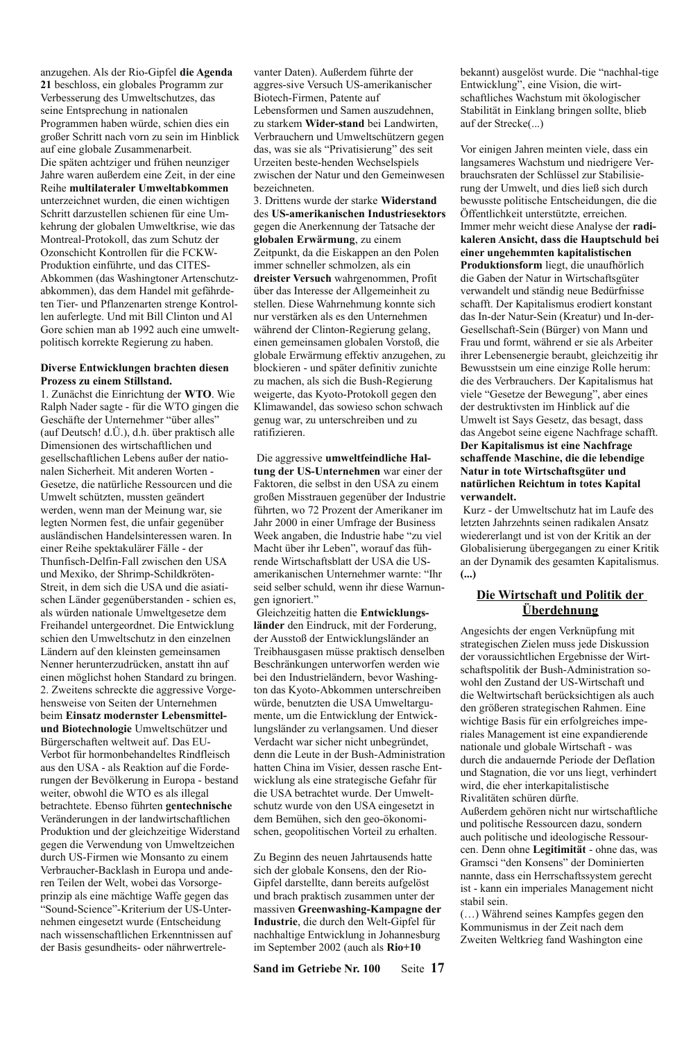anzugehen. Als der Rio-Gipfel die Agenda 21 beschloss, ein globales Programm zur Verbesserung des Umweltschutzes, das seine Entsprechung in nationalen Programmen haben würde, schien dies ein großer Schritt nach vorn zu sein im Hinblick auf eine globale Zusammenarbeit. Die späten achtziger und frühen neunziger Jahre waren außerdem eine Zeit, in der eine Reihe multilateraler Umweltabkommen unterzeichnet wurden, die einen wichtigen Schritt darzustellen schienen für eine Umkehrung der globalen Umweltkrise, wie das Montreal-Protokoll, das zum Schutz der Ozonschicht Kontrollen für die FCKW-Produktion einführte, und das CITES-Abkommen (das Washingtoner Artenschutzabkommen), das dem Handel mit gefährdeten Tier- und Pflanzenarten strenge Kontrollen auferlegte. Und mit Bill Clinton und Al Gore schien man ab 1992 auch eine umweltpolitisch korrekte Regierung zu haben.

#### Diverse Entwicklungen brachten diesen Prozess zu einem Stillstand.

1. Zunächst die Einrichtung der WTO. Wie Ralph Nader sagte - für die WTO gingen die Geschäfte der Unternehmer "über alles" (auf Deutsch! d.Ü.), d.h. über praktisch alle Dimensionen des wirtschaftlichen und gesellschaftlichen Lebens außer der nationalen Sicherheit. Mit anderen Worten -Gesetze, die natürliche Ressourcen und die Umwelt schützten, mussten geändert werden, wenn man der Meinung war, sie legten Normen fest, die unfair gegenüber ausländischen Handelsinteressen waren. In einer Reihe spektakulärer Fälle - der Thunfisch-Delfin-Fall zwischen den USA und Mexiko, der Shrimp-Schildkröten-Streit, in dem sich die USA und die asiatischen Länder gegenüberstanden - schien es, als würden nationale Umweltgesetze dem Freihandel untergeordnet. Die Entwicklung schien den Umweltschutz in den einzelnen Ländern auf den kleinsten gemeinsamen Nenner herunterzudrücken, anstatt ihn auf einen möglichst hohen Standard zu bringen. 2. Zweitens schreckte die aggressive Vorgehensweise von Seiten der Unternehmen beim Einsatz modernster Lebensmittelund Biotechnologie Umweltschützer und Bürgerschaften weltweit auf. Das EU-Verbot für hormonbehandeltes Rindfleisch aus den USA - als Reaktion auf die Forderungen der Bevölkerung in Europa - bestand weiter, obwohl die WTO es als illegal betrachtete. Ebenso führten gentechnische Veränderungen in der landwirtschaftlichen Produktion und der gleichzeitige Widerstand gegen die Verwendung von Umweltzeichen durch US-Firmen wie Monsanto zu einem Verbraucher-Backlash in Europa und anderen Teilen der Welt, wobei das Vorsorgeprinzip als eine mächtige Waffe gegen das "Sound-Science"-Kriterium der US-Unternehmen eingesetzt wurde (Entscheidung nach wissenschaftlichen Erkenntnissen auf der Basis gesundheits- oder nährwertrelevanter Daten). Außerdem führte der aggres-sive Versuch US-amerikanischer Biotech-Firmen. Patente auf Lebensformen und Samen auszudehnen, zu starkem Wider-stand bei Landwirten. Verbrauchern und Umweltschützern gegen das, was sie als "Privatisierung" des seit Urzeiten beste-henden Wechselspiels zwischen der Natur und den Gemeinwesen bezeichneten.

3. Drittens wurde der starke Widerstand des US-amerikanischen Industriesektors gegen die Anerkennung der Tatsache der globalen Erwärmung, zu einem Zeitpunkt, da die Eiskappen an den Polen immer schneller schmolzen, als ein dreister Versuch wahrgenommen, Profit über das Interesse der Allgemeinheit zu stellen. Diese Wahrnehmung konnte sich nur verstärken als es den Unternehmen während der Clinton-Regierung gelang, einen gemeinsamen globalen Vorstoß, die globale Erwärmung effektiv anzugehen, zu blockieren - und später definitiv zunichte zu machen, als sich die Bush-Regierung weigerte, das Kyoto-Protokoll gegen den Klimawandel, das sowieso schon schwach genug war, zu unterschreiben und zu ratifizieren

### Die aggressive umweltfeindliche Hal-

tung der US-Unternehmen war einer der Faktoren, die selbst in den USA zu einem großen Misstrauen gegenüber der Industrie führten, wo 72 Prozent der Amerikaner im Jahr 2000 in einer Umfrage der Business Week angaben, die Industrie habe "zu viel Macht über ihr Leben", worauf das führende Wirtschaftsblatt der USA die USamerikanischen Unternehmer warnte: "Ihr seid selber schuld, wenn ihr diese Warnungen ignoriert."

Gleichzeitig hatten die Entwicklungsländer den Eindruck, mit der Forderung, der Ausstoß der Entwicklungsländer an Treibhausgasen müsse praktisch denselben Beschränkungen unterworfen werden wie bei den Industrieländern, bevor Washington das Kyoto-Abkommen unterschreiben würde, benutzten die USA Umweltargumente, um die Entwicklung der Entwicklungsländer zu verlangsamen. Und dieser Verdacht war sicher nicht unbegründet, denn die Leute in der Bush-Administration hatten China im Visier, dessen rasche Entwicklung als eine strategische Gefahr für die USA betrachtet wurde. Der Umweltschutz wurde von den USA eingesetzt in dem Bemühen, sich den geo-ökonomischen, geopolitischen Vorteil zu erhalten.

Zu Beginn des neuen Jahrtausends hatte sich der globale Konsens, den der Rio-Gipfel darstellte, dann bereits aufgelöst und brach praktisch zusammen unter der massiven Greenwashing-Kampagne der Industrie, die durch den Welt-Gipfel für nachhaltige Entwicklung in Johannesburg im September 2002 (auch als Rio+10

Sand im Getriebe Nr. 100 Seite 17 bekannt) ausgelöst wurde. Die "nachhal-tige Entwicklung", eine Vision, die wirtschaftliches Wachstum mit ökologischer Stabilität in Einklang bringen sollte, blieb auf der Strecke(...)

Vor einigen Jahren meinten viele, dass ein langsameres Wachstum und niedrigere Verbrauchsraten der Schlüssel zur Stabilisierung der Umwelt, und dies ließ sich durch bewusste politische Entscheidungen, die die Öffentlichkeit unterstützte, erreichen. Immer mehr weicht diese Analyse der radikaleren Ansicht, dass die Hauptschuld bei einer ungehemmten kapitalistischen Produktionsform liegt, die unaufhörlich die Gaben der Natur in Wirtschaftsgüter verwandelt und ständig neue Bedürfnisse schafft. Der Kapitalismus erodiert konstant das In-der Natur-Sein (Kreatur) und In-der-Gesellschaft-Sein (Bürger) von Mann und Frau und formt, während er sie als Arbeiter ihrer Lebensenergie beraubt, gleichzeitig ihr Bewusstsein um eine einzige Rolle herum: die des Verbrauchers. Der Kapitalismus hat viele "Gesetze der Bewegung", aber eines der destruktivsten im Hinblick auf die Umwelt ist Says Gesetz, das besagt, dass das Angebot seine eigene Nachfrage schafft. Der Kapitalismus ist eine Nachfrage schaffende Maschine, die die lebendige Natur in tote Wirtschaftsgüter und natürlichen Reichtum in totes Kapital verwandelt.

Kurz - der Umweltschutz hat im Laufe des letzten Jahrzehnts seinen radikalen Ansatz wiedererlangt und ist von der Kritik an der Globalisierung übergegangen zu einer Kritik an der Dynamik des gesamten Kapitalismus.  $(\ldots)$ 

### Die Wirtschaft und Politik der <u>Überdehnung</u>

Angesichts der engen Verknüpfung mit strategischen Zielen muss jede Diskussion der voraussichtlichen Ergebnisse der Wirtschaftspolitik der Bush-Administration sowohl den Zustand der US-Wirtschaft und die Weltwirtschaft berücksichtigen als auch den größeren strategischen Rahmen. Eine wichtige Basis für ein erfolgreiches imperiales Management ist eine expandierende nationale und globale Wirtschaft - was durch die andauernde Periode der Deflation und Stagnation, die vor uns liegt, verhindert wird, die eher interkapitalistische Rivalitäten schüren dürfte.

Außerdem gehören nicht nur wirtschaftliche und politische Ressourcen dazu, sondern auch politische und ideologische Ressourcen. Denn ohne Legitimität - ohne das, was Gramsci "den Konsens" der Dominierten nannte, dass ein Herrschaftssystem gerecht ist - kann ein imperiales Management nicht stabil sein.

(...) Während seines Kampfes gegen den Kommunismus in der Zeit nach dem Zweiten Weltkrieg fand Washington eine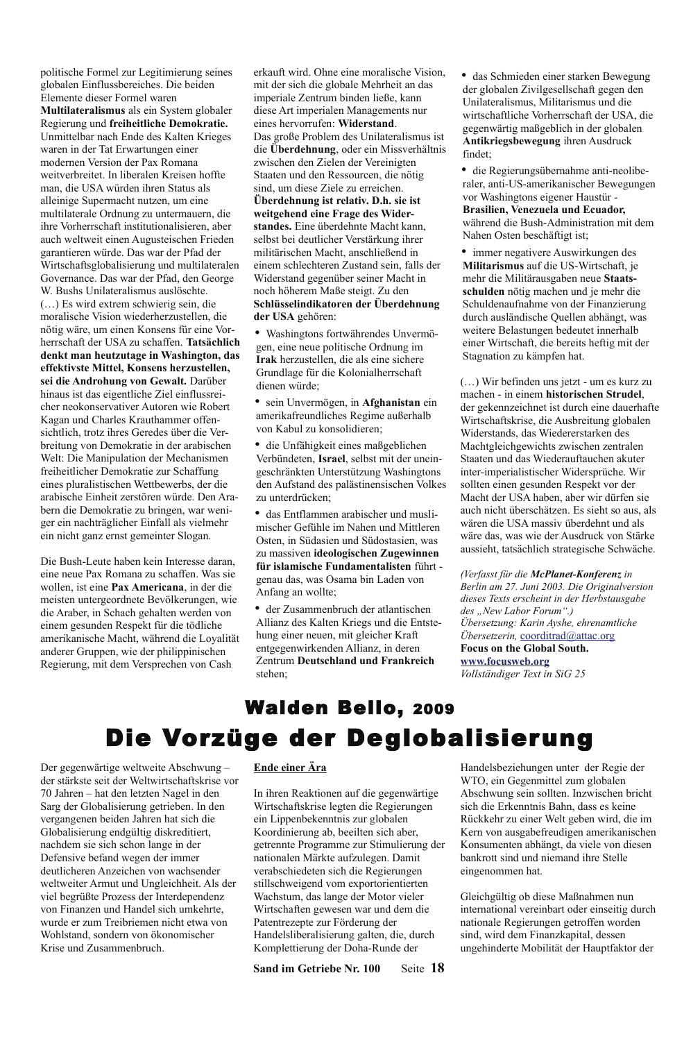politische Formel zur Legitimierung seines globalen Einflussbereiches. Die beiden Elemente dieser Formel waren Multilateralismus als ein System globaler Regierung und freiheitliche Demokratie. Unmittelbar nach Ende des Kalten Krieges waren in der Tat Erwartungen einer modernen Version der Pax Romana weitverbreitet. In liberalen Kreisen hoffte man, die USA würden ihren Status als alleinige Supermacht nutzen, um eine multilaterale Ordnung zu untermauern, die ihre Vorherrschaft institutionalisieren aber auch weltweit einen Augusteischen Frieden garantieren würde. Das war der Pfad der Wirtschaftsglobalisierung und multilateralen Governance. Das war der Pfad, den George W. Bushs Unilateralismus auslöschte. (...) Es wird extrem schwierig sein, die moralische Vision wiederherzustellen, die nötig wäre, um einen Konsens für eine Vorherrschaft der USA zu schaffen. Tatsächlich denkt man heutzutage in Washington, das effektivste Mittel, Konsens herzustellen, sei die Androhung von Gewalt. Darüber hinaus ist das eigentliche Ziel einflussreicher neokonservativer Autoren wie Robert Kagan und Charles Krauthammer offensichtlich, trotz ihres Geredes über die Verbreitung von Demokratie in der arabischen Welt: Die Manipulation der Mechanismen freiheitlicher Demokratie zur Schaffung eines pluralistischen Wettbewerbs, der die arabische Einheit zerstören würde. Den Arabern die Demokratie zu bringen, war weniger ein nachträglicher Einfall als vielmehr ein nicht ganz ernst gemeinter Slogan.

Die Bush-Leute haben kein Interesse daran, eine neue Pax Romana zu schaffen. Was sie wollen, ist eine Pax Americana, in der die meisten untergeordnete Bevölkerungen, wie die Araber, in Schach gehalten werden von einem gesunden Respekt für die tödliche amerikanische Macht, während die Loyalität anderer Gruppen, wie der philippinischen Regierung, mit dem Versprechen von Cash

erkauft wird. Ohne eine moralische Vision, mit der sich die globale Mehrheit an das imperiale Zentrum binden ließe, kann diese Art imperialen Managements nur eines hervorrufen: Widerstand. Das große Problem des Unilateralismus ist die Überdehnung, oder ein Missverhältnis zwischen den Zielen der Vereinigten Staaten und den Ressourcen, die nötig sind, um diese Ziele zu erreichen. Überdehnung ist relativ. D.h. sie ist weitgehend eine Frage des Widerstandes. Eine überdehnte Macht kann selbst bei deutlicher Verstärkung ihrer militärischen Macht, anschließend in einem schlechteren Zustand sein, falls der Widerstand gegenüber seiner Macht in noch höherem Maße steigt. Zu den Schlüsselindikatoren der Überdehnung der USA gehören:

· Washingtons fortwährendes Unvermögen, eine neue politische Ordnung im Irak herzustellen, die als eine sichere Grundlage für die Kolonialherrschaft dienen würde;

sein Unvermögen, in Afghanistan ein amerikafreundliches Regime außerhalb von Kabul zu konsolidieren;

die Unfähigkeit eines maßgeblichen Verbündeten, Israel, selbst mit der uneingeschränkten Unterstützung Washingtons den Aufstand des palästinensischen Volkes zu unterdrücken:

das Entflammen arabischer und muslimischer Gefühle im Nahen und Mittleren Osten, in Südasien und Südostasien, was zu massiven ideologischen Zugewinnen für islamische Fundamentalisten führt genau das, was Osama bin Laden von Anfang an wollte;

• der Zusammenbruch der atlantischen Allianz des Kalten Kriegs und die Entstehung einer neuen, mit gleicher Kraft entgegenwirkenden Allianz, in deren Zentrum Deutschland und Frankreich stehen:

• das Schmieden einer starken Bewegung der globalen Zivilgesellschaft gegen den Unilateralismus, Militarismus und die wirtschaftliche Vorherrschaft der USA, die gegenwärtig maßgeblich in der globalen Antikriegsbewegung ihren Ausdruck findet<sup>.</sup>

· die Regierungsübernahme anti-neoliberaler, anti-US-amerikanischer Bewegungen vor Washingtons eigener Haustür -Brasilien, Venezuela und Ecuador, während die Bush-Administration mit dem Nahen Osten beschäftigt ist:

• immer negativere Auswirkungen des Militarismus auf die US-Wirtschaft, je mehr die Militärausgaben neue Staatsschulden nötig machen und je mehr die Schuldenaufnahme von der Finanzierung durch ausländische Quellen abhängt, was weitere Belastungen bedeutet innerhalb einer Wirtschaft, die bereits heftig mit der Stagnation zu kämpfen hat.

(...) Wir befinden uns jetzt - um es kurz zu machen - in einem historischen Strudel, der gekennzeichnet ist durch eine dauerhafte Wirtschaftskrise, die Ausbreitung globalen Widerstands, das Wiedererstarken des Machtgleichgewichts zwischen zentralen Staaten und das Wiederauftauchen akuter inter-imperialistischer Widersprüche. Wir sollten einen gesunden Respekt vor der Macht der USA haben, aber wir dürfen sie auch nicht überschätzen. Es sieht so aus, als wären die USA massiv überdehnt und als wäre das, was wie der Ausdruck von Stärke aussieht, tatsächlich strategische Schwäche.

(Verfasst für die McPlanet-Konferenz in Berlin am 27. Juni 2003. Die Originalversion dieses Texts erscheint in der Herbstausgabe des "New Labor Forum".) Übersetzung: Karin Ayshe, ehrenamtliche Übersetzerin, coorditrad@attac.org **Focus on the Global South.** 

www.focusweb.org Vollständiger Text in SiG 25

# Walden Bello, 2009 Die Vorzüge der Deglobalisierung

Der gegenwärtige weltweite Abschwung der stärkste seit der Weltwirtschaftskrise vor 70 Jahren – hat den letzten Nagel in den Sarg der Globalisierung getrieben. In den vergangenen beiden Jahren hat sich die Globalisierung endgültig diskreditiert, nachdem sie sich schon lange in der Defensive befand wegen der immer deutlicheren Anzeichen von wachsender weltweiter Armut und Ungleichheit. Als der viel begrüßte Prozess der Interdependenz von Finanzen und Handel sich umkehrte, wurde er zum Treibriemen nicht etwa von Wohlstand, sondern von ökonomischer Krise und Zusammenbruch.

#### Ende einer Ära

In ihren Reaktionen auf die gegenwärtige Wirtschaftskrise legten die Regierungen ein Lippenbekenntnis zur globalen Koordinierung ab, beeilten sich aber, getrennte Programme zur Stimulierung der nationalen Märkte aufzulegen. Damit verabschiedeten sich die Regierungen stillschweigend vom exportorientierten Wachstum, das lange der Motor vieler Wirtschaften gewesen war und dem die Patentrezepte zur Förderung der Handelsliberalisierung galten, die, durch Komplettierung der Doha-Runde der

Sand im Getriebe Nr. 100 Seite 18

Handelsbeziehungen unter der Regie der WTO, ein Gegenmittel zum globalen Abschwung sein sollten. Inzwischen bricht sich die Erkenntnis Bahn, dass es keine Rückkehr zu einer Welt geben wird, die im Kern von ausgabefreudigen amerikanischen Konsumenten abhängt, da viele von diesen bankrott sind und niemand ihre Stelle eingenommen hat.

Gleichgültig ob diese Maßnahmen nun international vereinbart oder einseitig durch nationale Regierungen getroffen worden sind, wird dem Finanzkapital, dessen ungehinderte Mobilität der Hauptfaktor der